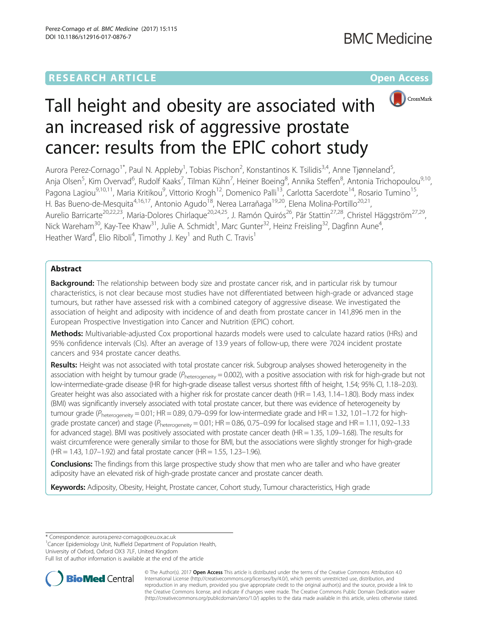

# Tall height and obesity are associated with an increased risk of aggressive prostate cancer: results from the EPIC cohort study

Aurora Perez-Cornago<sup>1\*</sup>, Paul N. Appleby<sup>1</sup>, Tobias Pischon<sup>2</sup>, Konstantinos K. Tsilidis<sup>3,4</sup>, Anne Tjønneland<sup>5</sup> , Anja Olsen<sup>5</sup>, Kim Overvad<sup>6</sup>, Rudolf Kaaks<sup>7</sup>, Tilman Kühn<sup>7</sup>, Heiner Boeing<sup>8</sup>, Annika Steffen<sup>8</sup>, Antonia Trichopoulou<sup>9,10</sup>, Pagona Lagiou<sup>9,10,11</sup>, Maria Kritikou<sup>9</sup>, Vittorio Krogh<sup>12</sup>, Domenico Palli<sup>13</sup>, Carlotta Sacerdote<sup>14</sup>, Rosario Tumino<sup>15</sup>, H. Bas Bueno-de-Mesquita<sup>4,16,17</sup>, Antonio Agudo<sup>18</sup>, Nerea Larrañaga<sup>19,20</sup>, Elena Molina-Portillo<sup>20,21</sup>, Aurelio Barricarte<sup>20,22,23</sup>, Maria-Dolores Chirlaque<sup>20,24,25</sup>, J. Ramón Quirós<sup>26</sup>, Pär Stattin<sup>27,28</sup>, Christel Häggström<sup>27,29</sup>, Nick Wareham $^{30}$ , Kay-Tee Khaw $^{31}$ , Julie A. Schmidt $^1$ , Marc Gunter $^{32}$ , Heinz Freisling $^{32}$ , Dagfinn Aune $^4$ , Heather Ward<sup>4</sup>, Elio Riboli<sup>4</sup>, Timothy J. Key<sup>1</sup> and Ruth C. Travis<sup>1</sup>

# Abstract

**Background:** The relationship between body size and prostate cancer risk, and in particular risk by tumour characteristics, is not clear because most studies have not differentiated between high-grade or advanced stage tumours, but rather have assessed risk with a combined category of aggressive disease. We investigated the association of height and adiposity with incidence of and death from prostate cancer in 141,896 men in the European Prospective Investigation into Cancer and Nutrition (EPIC) cohort.

Methods: Multivariable-adjusted Cox proportional hazards models were used to calculate hazard ratios (HRs) and 95% confidence intervals (CIs). After an average of 13.9 years of follow-up, there were 7024 incident prostate cancers and 934 prostate cancer deaths.

Results: Height was not associated with total prostate cancer risk. Subgroup analyses showed heterogeneity in the association with height by tumour grade ( $P_{heterogeneric} = 0.002$ ), with a positive association with risk for high-grade but not low-intermediate-grade disease (HR for high-grade disease tallest versus shortest fifth of height, 1.54; 95% CI, 1.18–2.03). Greater height was also associated with a higher risk for prostate cancer death (HR = 1.43, 1.14–1.80). Body mass index (BMI) was significantly inversely associated with total prostate cancer, but there was evidence of heterogeneity by tumour grade  $(P_{\text{heterogeneric}} = 0.01$ ; HR = 0.89, 0.79–0.99 for low-intermediate grade and HR = 1.32, 1.01–1.72 for highgrade prostate cancer) and stage  $(P_{heterogeneity} = 0.01; HR = 0.86, 0.75-0.99$  for localised stage and  $HR = 1.11, 0.92-1.33$ for advanced stage). BMI was positively associated with prostate cancer death (HR = 1.35, 1.09–1.68). The results for waist circumference were generally similar to those for BMI, but the associations were slightly stronger for high-grade  $(HR = 1.43, 1.07 - 1.92)$  and fatal prostate cancer (HR = 1.55, 1.23-1.96).

Conclusions: The findings from this large prospective study show that men who are taller and who have greater adiposity have an elevated risk of high-grade prostate cancer and prostate cancer death.

Keywords: Adiposity, Obesity, Height, Prostate cancer, Cohort study, Tumour characteristics, High grade

\* Correspondence: [aurora.perez-cornago@ceu.ox.ac.uk](mailto:aurora.perez-cornago@ceu.ox.ac.uk) <sup>1</sup>

Cancer Epidemiology Unit, Nuffield Department of Population Health,

University of Oxford, Oxford OX3 7LF, United Kingdom

Full list of author information is available at the end of the article



© The Author(s). 2017 **Open Access** This article is distributed under the terms of the Creative Commons Attribution 4.0 International License [\(http://creativecommons.org/licenses/by/4.0/](http://creativecommons.org/licenses/by/4.0/)), which permits unrestricted use, distribution, and reproduction in any medium, provided you give appropriate credit to the original author(s) and the source, provide a link to the Creative Commons license, and indicate if changes were made. The Creative Commons Public Domain Dedication waiver [\(http://creativecommons.org/publicdomain/zero/1.0/](http://creativecommons.org/publicdomain/zero/1.0/)) applies to the data made available in this article, unless otherwise stated.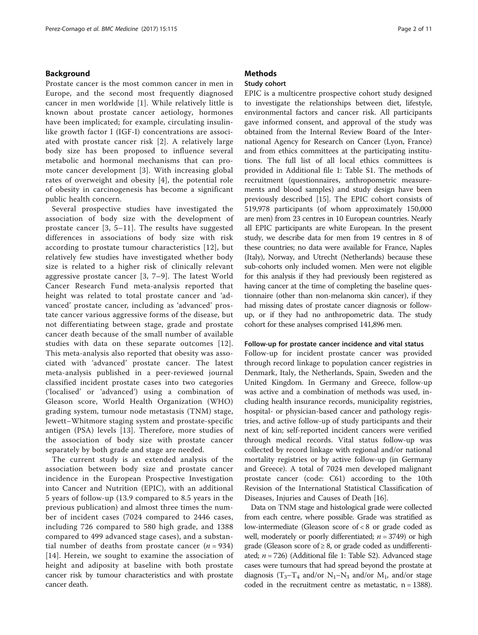# Background

Prostate cancer is the most common cancer in men in Europe, and the second most frequently diagnosed cancer in men worldwide [[1](#page-8-0)]. While relatively little is known about prostate cancer aetiology, hormones have been implicated; for example, circulating insulinlike growth factor I (IGF-I) concentrations are associated with prostate cancer risk [[2](#page-8-0)]. A relatively large body size has been proposed to influence several metabolic and hormonal mechanisms that can promote cancer development [[3\]](#page-8-0). With increasing global rates of overweight and obesity [\[4\]](#page-8-0), the potential role of obesity in carcinogenesis has become a significant public health concern.

Several prospective studies have investigated the association of body size with the development of prostate cancer [[3,](#page-8-0) [5](#page-9-0)–[11\]](#page-9-0). The results have suggested differences in associations of body size with risk according to prostate tumour characteristics [[12](#page-9-0)], but relatively few studies have investigated whether body size is related to a higher risk of clinically relevant aggressive prostate cancer [[3,](#page-8-0) [7](#page-9-0)–[9\]](#page-9-0). The latest World Cancer Research Fund meta-analysis reported that height was related to total prostate cancer and 'advanced' prostate cancer, including as 'advanced' prostate cancer various aggressive forms of the disease, but not differentiating between stage, grade and prostate cancer death because of the small number of available studies with data on these separate outcomes [[12](#page-9-0)]. This meta-analysis also reported that obesity was associated with 'advanced' prostate cancer. The latest meta-analysis published in a peer-reviewed journal classified incident prostate cases into two categories ('localised' or 'advanced') using a combination of Gleason score, World Health Organization (WHO) grading system, tumour node metastasis (TNM) stage, Jewett–Whitmore staging system and prostate-specific antigen (PSA) levels [[13](#page-9-0)]. Therefore, more studies of the association of body size with prostate cancer separately by both grade and stage are needed.

The current study is an extended analysis of the association between body size and prostate cancer incidence in the European Prospective Investigation into Cancer and Nutrition (EPIC), with an additional 5 years of follow-up (13.9 compared to 8.5 years in the previous publication) and almost three times the number of incident cases (7024 compared to 2446 cases, including 726 compared to 580 high grade, and 1388 compared to 499 advanced stage cases), and a substantial number of deaths from prostate cancer  $(n = 934)$ [[14](#page-9-0)]. Herein, we sought to examine the association of height and adiposity at baseline with both prostate cancer risk by tumour characteristics and with prostate cancer death.

# **Methods**

# Study cohort

EPIC is a multicentre prospective cohort study designed to investigate the relationships between diet, lifestyle, environmental factors and cancer risk. All participants gave informed consent, and approval of the study was obtained from the Internal Review Board of the International Agency for Research on Cancer (Lyon, France) and from ethics committees at the participating institutions. The full list of all local ethics committees is provided in Additional file [1](#page-7-0): Table S1. The methods of recruitment (questionnaires, anthropometric measurements and blood samples) and study design have been previously described [\[15\]](#page-9-0). The EPIC cohort consists of 519,978 participants (of whom approximately 150,000 are men) from 23 centres in 10 European countries. Nearly all EPIC participants are white European. In the present study, we describe data for men from 19 centres in 8 of these countries; no data were available for France, Naples (Italy), Norway, and Utrecht (Netherlands) because these sub-cohorts only included women. Men were not eligible for this analysis if they had previously been registered as having cancer at the time of completing the baseline questionnaire (other than non-melanoma skin cancer), if they had missing dates of prostate cancer diagnosis or followup, or if they had no anthropometric data. The study cohort for these analyses comprised 141,896 men.

#### Follow-up for prostate cancer incidence and vital status

Follow-up for incident prostate cancer was provided through record linkage to population cancer registries in Denmark, Italy, the Netherlands, Spain, Sweden and the United Kingdom. In Germany and Greece, follow-up was active and a combination of methods was used, including health insurance records, municipality registries, hospital- or physician-based cancer and pathology registries, and active follow-up of study participants and their next of kin; self-reported incident cancers were verified through medical records. Vital status follow-up was collected by record linkage with regional and/or national mortality registries or by active follow-up (in Germany and Greece). A total of 7024 men developed malignant prostate cancer (code: C61) according to the 10th Revision of the International Statistical Classification of Diseases, Injuries and Causes of Death [[16\]](#page-9-0).

Data on TNM stage and histological grade were collected from each centre, where possible. Grade was stratified as low-intermediate (Gleason score of < 8 or grade coded as well, moderately or poorly differentiated;  $n = 3749$ ) or high grade (Gleason score of  $\geq 8$ , or grade coded as undifferentiated;  $n = 726$ ) (Additional file [1:](#page-7-0) Table S2). Advanced stage cases were tumours that had spread beyond the prostate at diagnosis  $(T_3-T_4$  and/or  $N_1-N_3$  and/or  $M_1$ , and/or stage coded in the recruitment centre as metastatic,  $n = 1388$ ).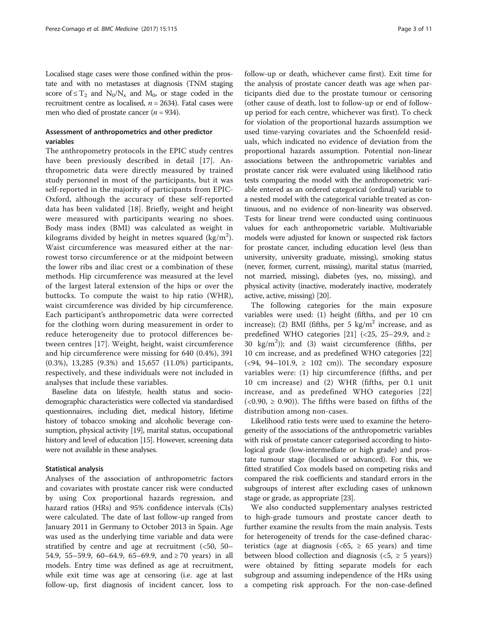Localised stage cases were those confined within the prostate and with no metastases at diagnosis (TNM staging score of  $\leq T_2$  and N<sub>0</sub>/N<sub>x</sub> and M<sub>0</sub>, or stage coded in the recruitment centre as localised,  $n = 2634$ ). Fatal cases were men who died of prostate cancer ( $n = 934$ ).

# Assessment of anthropometrics and other predictor variables

The anthropometry protocols in the EPIC study centres have been previously described in detail [[17](#page-9-0)]. Anthropometric data were directly measured by trained study personnel in most of the participants, but it was self-reported in the majority of participants from EPIC-Oxford, although the accuracy of these self-reported data has been validated [[18\]](#page-9-0). Briefly, weight and height were measured with participants wearing no shoes. Body mass index (BMI) was calculated as weight in kilograms divided by height in metres squared (kg/m<sup>2</sup>). Waist circumference was measured either at the narrowest torso circumference or at the midpoint between the lower ribs and iliac crest or a combination of these methods. Hip circumference was measured at the level of the largest lateral extension of the hips or over the buttocks. To compute the waist to hip ratio (WHR), waist circumference was divided by hip circumference. Each participant's anthropometric data were corrected for the clothing worn during measurement in order to reduce heterogeneity due to protocol differences between centres [[17\]](#page-9-0). Weight, height, waist circumference and hip circumference were missing for 640 (0.4%), 391 (0.3%), 13,285 (9.3%) and 15,657 (11.0%) participants, respectively, and these individuals were not included in analyses that include these variables.

Baseline data on lifestyle, health status and sociodemographic characteristics were collected via standardised questionnaires, including diet, medical history, lifetime history of tobacco smoking and alcoholic beverage consumption, physical activity [[19](#page-9-0)], marital status, occupational history and level of education [[15](#page-9-0)]. However, screening data were not available in these analyses.

# Statistical analysis

Analyses of the association of anthropometric factors and covariates with prostate cancer risk were conducted by using Cox proportional hazards regression, and hazard ratios (HRs) and 95% confidence intervals (CIs) were calculated. The date of last follow-up ranged from January 2011 in Germany to October 2013 in Spain. Age was used as the underlying time variable and data were stratified by centre and age at recruitment (<50, 50– 54.9, 55–59.9, 60–64.9, 65–69.9, and ≥ 70 years) in all models. Entry time was defined as age at recruitment, while exit time was age at censoring (i.e. age at last follow-up, first diagnosis of incident cancer, loss to follow-up or death, whichever came first). Exit time for the analysis of prostate cancer death was age when participants died due to the prostate tumour or censoring (other cause of death, lost to follow-up or end of followup period for each centre, whichever was first). To check for violation of the proportional hazards assumption we used time-varying covariates and the Schoenfeld residuals, which indicated no evidence of deviation from the proportional hazards assumption. Potential non-linear associations between the anthropometric variables and prostate cancer risk were evaluated using likelihood ratio tests comparing the model with the anthropometric variable entered as an ordered categorical (ordinal) variable to a nested model with the categorical variable treated as continuous, and no evidence of non-linearity was observed. Tests for linear trend were conducted using continuous values for each anthropometric variable. Multivariable models were adjusted for known or suspected risk factors for prostate cancer, including education level (less than university, university graduate, missing), smoking status (never, former, current, missing), marital status (married, not married, missing), diabetes (yes, no, missing), and physical activity (inactive, moderately inactive, moderately active, active, missing) [[20](#page-9-0)].

The following categories for the main exposure variables were used: (1) height (fifths, and per 10 cm increase); (2) BMI (fifths, per 5 kg/m<sup>2</sup> increase, and as predefined WHO categories [[21](#page-9-0)] (<25, 25–29.9, and ≥ 30 kg/m<sup>2</sup> )); and (3) waist circumference (fifths, per 10 cm increase, and as predefined WHO categories [[22](#page-9-0)] (<94, 94-101.9,  $\geq$  102 cm)). The secondary exposure variables were: (1) hip circumference (fifths, and per 10 cm increase) and (2) WHR (fifths, per 0.1 unit increase, and as predefined WHO categories [[22](#page-9-0)]  $(<0.90, \geq 0.90)$ ). The fifths were based on fifths of the distribution among non-cases.

Likelihood ratio tests were used to examine the heterogeneity of the associations of the anthropometric variables with risk of prostate cancer categorised according to histological grade (low-intermediate or high grade) and prostate tumour stage (localised or advanced). For this, we fitted stratified Cox models based on competing risks and compared the risk coefficients and standard errors in the subgroups of interest after excluding cases of unknown stage or grade, as appropriate [[23](#page-9-0)].

We also conducted supplementary analyses restricted to high-grade tumours and prostate cancer death to further examine the results from the main analysis. Tests for heterogeneity of trends for the case-defined characteristics (age at diagnosis (<65,  $\geq$  65 years) and time between blood collection and diagnosis ( $\langle 5, \rangle$  = 5 years)) were obtained by fitting separate models for each subgroup and assuming independence of the HRs using a competing risk approach. For the non-case-defined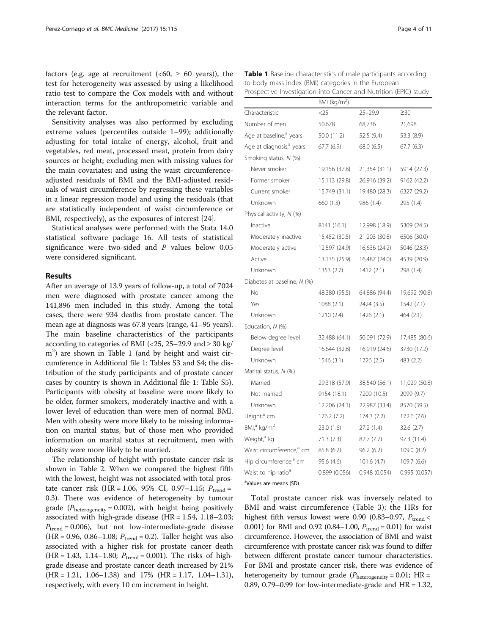factors (e.g. age at recruitment ( $<60$ ,  $\geq 60$  years)), the test for heterogeneity was assessed by using a likelihood ratio test to compare the Cox models with and without interaction terms for the anthropometric variable and the relevant factor.

Sensitivity analyses was also performed by excluding extreme values (percentiles outside 1–99); additionally adjusting for total intake of energy, alcohol, fruit and vegetables, red meat, processed meat, protein from dairy sources or height; excluding men with missing values for the main covariates; and using the waist circumferenceadjusted residuals of BMI and the BMI-adjusted residuals of waist circumference by regressing these variables in a linear regression model and using the residuals (that are statistically independent of waist circumference or BMI, respectively), as the exposures of interest [[24\]](#page-9-0).

Statistical analyses were performed with the Stata 14.0 statistical software package 16. All tests of statistical significance were two-sided and P values below 0.05 were considered significant.

# Results

After an average of 13.9 years of follow-up, a total of 7024 men were diagnosed with prostate cancer among the 141,896 men included in this study. Among the total cases, there were 934 deaths from prostate cancer. The mean age at diagnosis was 67.8 years (range, 41–95 years). The main baseline characteristics of the participants according to categories of BMI (<25, 25–29.9 and  $\geq$  30 kg/ m<sup>2</sup>) are shown in Table 1 (and by height and waist circumference in Additional file [1:](#page-7-0) Tables S3 and S4; the distribution of the study participants and of prostate cancer cases by country is shown in Additional file [1:](#page-7-0) Table S5). Participants with obesity at baseline were more likely to be older, former smokers, moderately inactive and with a lower level of education than were men of normal BMI. Men with obesity were more likely to be missing information on marital status, but of those men who provided information on marital status at recruitment, men with obesity were more likely to be married.

The relationship of height with prostate cancer risk is shown in Table [2.](#page-4-0) When we compared the highest fifth with the lowest, height was not associated with total prostate cancer risk (HR = 1.06, 95% CI, 0.97–1.15;  $P_{\text{trend}} =$ 0.3). There was evidence of heterogeneity by tumour grade ( $P_{\text{heterogeneity}} = 0.002$ ), with height being positively associated with high-grade disease (HR = 1.54, 1.18–2.03;  $P_{\text{trend}} = 0.006$ , but not low-intermediate-grade disease  $(HR = 0.96, 0.86 - 1.08; P<sub>trend</sub> = 0.2)$ . Taller height was also associated with a higher risk for prostate cancer death  $(HR = 1.43, 1.14-1.80; P<sub>trend</sub> = 0.001)$ . The risks of highgrade disease and prostate cancer death increased by 21%  $(HR = 1.21, 1.06-1.38)$  and 17%  $(HR = 1.17, 1.04-1.31)$ , respectively, with every 10 cm increment in height.

| <b>Table 1</b> Baseline characteristics of male participants according |
|------------------------------------------------------------------------|
| to body mass index (BMI) categories in the European                    |
| Prospective Investigation into Cancer and Nutrition (EPIC) study       |

|                                      | BMI ( $kg/m2$ ) |               |               |
|--------------------------------------|-----------------|---------------|---------------|
| Characteristic                       | $<$ 25          | $25 - 29.9$   | $\geq$ 30     |
| Number of men                        | 50,678          | 68,736        | 21,698        |
| Age at baseline, <sup>a</sup> years  | 50.0 (11.2)     | 52.5 (9.4)    | 53.3 (8.9)    |
| Age at diagnosis, <sup>a</sup> years | 67.7 (6.9)      | 68.0(6.5)     | 67.7(6.3)     |
| Smoking status, N (%)                |                 |               |               |
| Never smoker                         | 19,156 (37.8)   | 21,354 (31.1) | 5914 (27.3)   |
| Former smoker                        | 15,113 (29.8)   | 26,916 (39.2) | 9162 (42.2)   |
| Current smoker                       | 15,749 (31.1)   | 19,480 (28.3) | 6327 (29.2)   |
| Unknown                              | 660 (1.3)       | 986 (1.4)     | 295 (1.4)     |
| Physical activity, N (%)             |                 |               |               |
| Inactive                             | 8141 (16.1)     | 12,998 (18.9) | 5309 (24.5)   |
| Moderately inactive                  | 15,452 (30.5)   | 21,203 (30.8) | 6506 (30.0)   |
| Moderately active                    | 12,597 (24.9)   | 16,636 (24.2) | 5046 (23.3)   |
| Active                               | 13,135 (25.9)   | 16,487 (24.0) | 4539 (20.9)   |
| Unknown                              | 1353 (2.7)      | 1412 (2.1)    | 298 (1.4)     |
| Diabetes at baseline, N (%)          |                 |               |               |
| No                                   | 48,380 (95.5)   | 64,886 (94.4) | 19,692 (90.8) |
| Yes                                  | 1088(2.1)       | 2424 (3.5)    | 1542 (7.1)    |
| Unknown                              | 1210 (2.4)      | 1426(2.1)     | 464 (2.1)     |
| Education, N (%)                     |                 |               |               |
| Below degree level                   | 32,488 (64.1)   | 50,091 (72.9) | 17,485 (80.6) |
| Degree level                         | 16,644 (32.8)   | 16,919 (24.6) | 3730 (17.2)   |
| Unknown                              | 1546 (3.1)      | 1726 (2.5)    | 483 (2.2)     |
| Marital status, N (%)                |                 |               |               |
| Married                              | 29,318 (57.9)   | 38,540 (56.1) | 11,029 (50.8) |
| Not married                          | 9154 (18.1)     | 7209 (10.5)   | 2099 (9.7)    |
| Unknown                              | 12,206 (24.1)   | 22,987 (33.4) | 8570 (39.5)   |
| Height, <sup>a</sup> cm              | 176.2(7.2)      | 174.3(7.2)    | 172.6(7.6)    |
| BMI, <sup>a</sup> kg/m <sup>2</sup>  | 23.0(1.6)       | 27.2(1.4)     | 32.6(2.7)     |
| Weight, <sup>a</sup> kg              | 71.3 (7.3)      | 82.7 (7.7)    | 97.3 (11.4)   |
| Waist circumference, <sup>a</sup> cm | 85.8 (6.2)      | 96.2(6.2)     | 109.0(8.2)    |
| Hip circumference, <sup>a</sup> cm   | 95.6 (4.6)      | 101.6(4.7)    | 109.7(6.6)    |
| Waist to hip ratio <sup>a</sup>      | 0.899 (0.056)   | 0.948 (0.054) | 0.995 (0.057) |

a Values are means (SD)

Total prostate cancer risk was inversely related to BMI and waist circumference (Table [3\)](#page-5-0); the HRs for highest fifth versus lowest were 0.90 (0.83–0.97,  $P_{trend}$  < 0.001) for BMI and 0.92 (0.84–1.00,  $P_{\text{trend}} = 0.01$ ) for waist circumference. However, the association of BMI and waist circumference with prostate cancer risk was found to differ between different prostate cancer tumour characteristics. For BMI and prostate cancer risk, there was evidence of heterogeneity by tumour grade ( $P_{\text{heterogeneity}} = 0.01$ ; HR = 0.89, 0.79–0.99 for low-intermediate-grade and  $HR = 1.32$ ,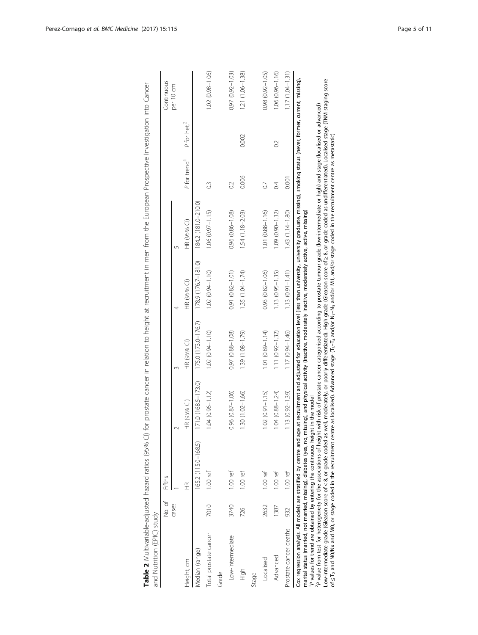| cases                                                                                                                                                                                                                                                                                                                                                                                                                                                                                                                                                                                                                                                                                                   | Fifths<br>No. of    |                        |                      |                        |                      |                          |                         | Continuous          |
|---------------------------------------------------------------------------------------------------------------------------------------------------------------------------------------------------------------------------------------------------------------------------------------------------------------------------------------------------------------------------------------------------------------------------------------------------------------------------------------------------------------------------------------------------------------------------------------------------------------------------------------------------------------------------------------------------------|---------------------|------------------------|----------------------|------------------------|----------------------|--------------------------|-------------------------|---------------------|
|                                                                                                                                                                                                                                                                                                                                                                                                                                                                                                                                                                                                                                                                                                         |                     |                        |                      |                        |                      |                          |                         | per 10 cm           |
| Height, cm                                                                                                                                                                                                                                                                                                                                                                                                                                                                                                                                                                                                                                                                                              | £                   | HR (95% CI)            | HR (95% CI)          | HR (95% CI)            | HR (95% CI)          | P for trend <sup>1</sup> | P for het. <sup>2</sup> |                     |
| Median (range)                                                                                                                                                                                                                                                                                                                                                                                                                                                                                                                                                                                                                                                                                          | 165.2 (115.0-168.5) | 71.0 (168.5-173.0)     | 175.0 (173.0-176.7)  | 178.9 (176.7-181.0)    | 184.2 (181.0-210.0)  |                          |                         |                     |
| 7010<br>Total prostate cancer                                                                                                                                                                                                                                                                                                                                                                                                                                                                                                                                                                                                                                                                           | $1.00 \text{ ref}$  | $.04(0.96 - 1.12)$     | $1.02(0.94 - 1.10)$  | $1.02(0.94 - 1.10)$    | $1.06(0.97 - 1.15)$  | 03                       |                         | 1.02 (0.98-1.06)    |
| Grade                                                                                                                                                                                                                                                                                                                                                                                                                                                                                                                                                                                                                                                                                                   |                     |                        |                      |                        |                      |                          |                         |                     |
| 3740<br>Low-intermediate                                                                                                                                                                                                                                                                                                                                                                                                                                                                                                                                                                                                                                                                                | $1.00$ ref          | $0.96$ $(0.87 - 1.06)$ | $0.97(0.88 - 1.08)$  | $0.91$ $(0.82 - 1.01)$ | $0.96(0.86 - 1.08)$  | $\Omega$                 |                         | $0.97(0.92 - 1.03)$ |
| 726<br>High                                                                                                                                                                                                                                                                                                                                                                                                                                                                                                                                                                                                                                                                                             | $1.00$ ref          | $30(1.02 - 1.66)$      | $1.39(1.08 - 1.79)$  | $1.35(1.04 - 1.74)$    | $1.54(1.18 - 2.03)$  | 0.006                    | 0.002                   | $1.21(1.06 - 1.38)$ |
| Stage                                                                                                                                                                                                                                                                                                                                                                                                                                                                                                                                                                                                                                                                                                   |                     |                        |                      |                        |                      |                          |                         |                     |
| 2632<br>Localised                                                                                                                                                                                                                                                                                                                                                                                                                                                                                                                                                                                                                                                                                       | $1.00 \text{ ref}$  | $(21.1-1.9)2$          | $1.01 (0.89 - 1.14)$ | $0.93(0.82 - 1.06)$    | $1.01 (0.88 - 1.16)$ | 07                       |                         | $0.98(0.92 - 1.05)$ |
| 1387<br>Advanced                                                                                                                                                                                                                                                                                                                                                                                                                                                                                                                                                                                                                                                                                        | $1.00$ ref          | $0.04(0.88 - 1.24)$    | $1.11(0.92 - 1.32)$  | $1.13(0.95 - 1.35)$    | $1.09(0.90 - 1.32)$  | $\sim$<br>$\overline{0}$ |                         | $1.06(0.96 - 1.16)$ |
| 932<br>Prostate cancer deaths                                                                                                                                                                                                                                                                                                                                                                                                                                                                                                                                                                                                                                                                           | $1.00 \text{ ref}$  | $.13(0.92 - 1.39)$     | $1.17(0.94 - 1.46)$  | $1.13(0.91 - 1.41)$    | $1.43(1.14 - 1.80)$  | 0.001                    |                         | $1.17(1.04 - 1.31)$ |
| Cox regression analysis. All models are stratified by centre and age at recruitment and adjusted for education level (less than university, university graduate, missing), smoking status (never, former, current, missing),<br>P value from test for heterogeneity for the associations of height with risk of prostate cancer categorised according to prostate tumour grade (low-intermediate or high) and stage (localised or advanced)<br>marital status (married, not married, missing), diabetes (yes, no, missing), and physical activity (inactive, moderately inactive, moderately active, active, missing)<br>P values for trend are obtained by entering the continuous height in the model |                     |                        |                      |                        |                      |                          |                         |                     |

<span id="page-4-0"></span>Perez-Cornago et al. BMC Medicine (2017) 15:115 **Page 5 of 11** Page 5 of 11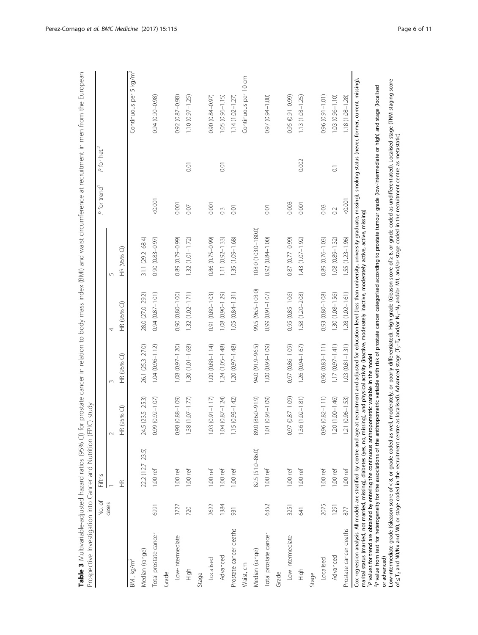|                        | No. of          | Fifths             |                        |                     |                     |                     | P for trend <sup>1</sup> | P for het. <sup>2</sup> |                                    |
|------------------------|-----------------|--------------------|------------------------|---------------------|---------------------|---------------------|--------------------------|-------------------------|------------------------------------|
|                        | cases           |                    | $\sim$                 | 3                   | 4                   | 5                   |                          |                         |                                    |
|                        |                 | E                  | HR (95% CI)            | HR (95% CI)         | HR (95% CI)         | HR (95% CI)         |                          |                         |                                    |
| BMI, kg/m <sup>2</sup> |                 |                    |                        |                     |                     |                     |                          |                         | Continuous per 5 kg/m <sup>2</sup> |
| Median (range)         |                 | 22.2 (12.7-23.5)   | 24.5 (23.5-25.3)       | 26.1 (25.3-27.0)    | 28.0 (27.0-29.2)    | 31.1 (29.2-68.4)    |                          |                         |                                    |
| Total prostate cancer  | 6991            | $1.00$ ref         | 0.99 (0.92-1.07)       | $1.04(0.96 - 1.12)$ | 0.94 (0.87-1.01)    | $0.90(0.83 - 0.97)$ | < 0.001                  |                         | 0.94 (0.90-0.98)                   |
| Grade                  |                 |                    |                        |                     |                     |                     |                          |                         |                                    |
| Low-intermediate       | 3727            | $1.00$ ref         | 0.98 (0.88-1.09)       | 1.08 (0.97-1.20)    | 0.90 (0.80-1.00)    | 0.89 (0.79-0.99)    | 0.001                    |                         | $0.92(0.87 - 0.98)$                |
| High                   | 720             | $1.00 \text{ ref}$ | $.38(1.07 - 1.77)$     | 1.30 (1.01-1.68)    | 1.32 (1.02-1.71)    | $1.32(1.01 - 1.72)$ | 0.07                     | 0.01                    | $1.10(0.97 - 1.25)$                |
| Stage                  |                 |                    |                        |                     |                     |                     |                          |                         |                                    |
| Localised              | 2622            | $1.00$ ref         | $(0.1 - 1.17)$         | $1.00(0.88 - 1.14)$ | 0.91 (0.80-1.03)    | 0.86 (0.75-0.99)    | 0.001                    |                         | $0.90(0.84 - 0.97)$                |
| Advanced               | 1384            | $1.00 \text{ ref}$ | $0.64(0.87 - 1.24)$    | $1.24(1.05 - 1.48)$ | 1.08 (0.90-1.29)    | $1.11(0.92 - 1.33)$ | $0.\overline{3}$         | 0.01                    | $1.05(0.96 - 1.15)$                |
| Prostate cancer deaths | 931             | $1.00$ ref         | $(5, 15, 0.93 - 1.42)$ | $1.20(0.97 - 1.48)$ | $1.05(0.84 - 1.31)$ | 1.35 (1.09-1.68)    | 0.01                     |                         | $1.14(1.02 - 1.27)$                |
| Waist, cm              |                 |                    |                        |                     |                     |                     |                          |                         | Continuous per 10 cm               |
| Median (range)         |                 | 82.5 (51.0-86.0)   | 89.0 (86.0-91.9)       | 94.0 (91.9-96.5)    | 99.5 (96.5-103.0)   | 108.0 (103.0-180.0) |                          |                         |                                    |
| Total prostate cancer  | 6352            | $1.00$ ref         | $.01(0.93 - 1.09)$     | 1.00 (0.93-1.09)    | 0.99 (0.91-1.07)    | $0.92(0.84 - 1.00)$ | 0.01                     |                         | $0.97(0.94 - 1.00)$                |
| Grade                  |                 |                    |                        |                     |                     |                     |                          |                         |                                    |
| Low-intermediate       | 3251            | $1.00 \text{ ref}$ | 0.97 (0.87-1.09)       | 0.97 (0.86-1.09)    | $0.95(0.85 - 1.06)$ | 0.87 (0.77-0.99)    | 0.003                    |                         | 0.95 (0.91-0.99)                   |
| High                   | $\overline{41}$ | $1.00$ ref         | $1.36(1.02 - 1.81)$    | $1.26(0.94 - 1.67)$ | 1.58 (1.20-2.08)    | $1.43(1.07 - 1.92)$ | 0.001                    | 0.002                   | $1.13(1.03 - 1.25)$                |
| Stage                  |                 |                    |                        |                     |                     |                     |                          |                         |                                    |
| Localised              | 2075            | $1.00$ ref         | $0.96$ $(0.82 - 1.11)$ | $0.96(0.83 - 1.11)$ | 0.93 (0.80-1.08)    | $0.89(0.76 - 1.03)$ | 0.03                     |                         | $0.96(0.91 - 1.01)$                |
| Advanced               | 1291            | $1.00 \text{ ref}$ | 20 (1.00-1.46)         | $1.17(0.97 - 1.41)$ | 1.30 (1.08-1.56)    | 1.08 (0.89-1.32)    | 0.2                      | $\overline{\circ}$      | $1.03(0.96 - 1.10)$                |
| Prostate cancer deaths | 877             | $1.00$ ref         | $21(0.96 - 1.53)$      | $1.03(0.81 - 1.31)$ | $1.28(1.02 - 1.61)$ | $1.55(1.23 - 1.96)$ | &0.001                   |                         | 1.18 (1.08-1.28)                   |

<span id="page-5-0"></span>Table 3 Multivariable-adjusted bazard ratios (95% Cl) for prostate cancer in relation to body mass index (BMI) and waist circumference at recruitment in men from the European Table 3 Multivariable-adjusted hazard ratios (95% CI) for prostate cancer in relation to body mass index (BMI) and waist circumference at recruitment in men from the European

<sup>2</sup>P value from test for heterogeneity for the associations of the anthropometric variable with risk of prostate cancer categorised according to prostate turnour grade (low-intermediate or high) and stage (localised <sup>2</sup>P value from test for heterogeneity for the associations of the anthropometric variable with risk of prostate cancer categorised according to prostate tumour grade (low-intermediate or high) and stage (localised or advanced) or advanced)

Low-intermediate grade (Gleason score of< 8, or grade coded as well, moderately, or poorly differentiated). High grade (Gleason score of ≥8, or grade coded as undifferentiated). Localised stage (TNM staging score<br>of ≤ T, Low-intermediate grade (Gleason score of < 8, or grade coded as well, moderately, or poorly differentiated). High grade (Gleason score of ≥ 8, or grade coded as undifferentiated). Localised stage (TNM staging score of ≤ T<sub>2</sub> and N0/Nx and M0, or stage coded in the recruitment centre as localised). Advanced stage (T<sub>3</sub>–T<sub>4</sub> and/or N1, and/or M1, and/or stage coded in the recruitment centre as metastatic)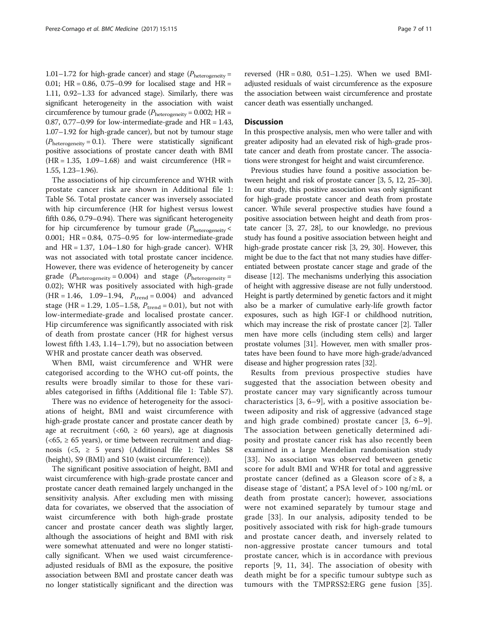1.01–1.72 for high-grade cancer) and stage ( $P_{\text{heterogeneity}} =$ 0.01; HR = 0.86, 0.75–0.99 for localised stage and HR = 1.11, 0.92–1.33 for advanced stage). Similarly, there was significant heterogeneity in the association with waist circumference by tumour grade ( $P_{\text{heterogeneity}} = 0.002$ ; HR = 0.87, 0.77–0.99 for low-intermediate-grade and  $HR = 1.43$ , 1.07–1.92 for high-grade cancer), but not by tumour stage  $(P_{heterogeneity} = 0.1)$ . There were statistically significant positive associations of prostate cancer death with BMI  $(HR = 1.35, 1.09 - 1.68)$  and waist circumference  $(HR =$ 1.55, 1.23–1.96).

The associations of hip circumference and WHR with prostate cancer risk are shown in Additional file [1](#page-7-0): Table S6. Total prostate cancer was inversely associated with hip circumference (HR for highest versus lowest fifth 0.86, 0.79–0.94). There was significant heterogeneity for hip circumference by tumour grade  $(P_{heterogeneity} <$ 0.001; HR = 0.84, 0.75–0.95 for low-intermediate-grade and HR = 1.37, 1.04–1.80 for high-grade cancer). WHR was not associated with total prostate cancer incidence. However, there was evidence of heterogeneity by cancer grade  $(P_{\text{heterogeneity}} = 0.004)$  and stage  $(P_{\text{heterogeneity}} =$ 0.02); WHR was positively associated with high-grade  $(HR = 1.46, 1.09 - 1.94, P<sub>trend</sub> = 0.004)$  and advanced stage (HR = 1.29, 1.05–1.58,  $P_{\text{trend}} = 0.01$ ), but not with low-intermediate-grade and localised prostate cancer. Hip circumference was significantly associated with risk of death from prostate cancer (HR for highest versus lowest fifth 1.43, 1.14–1.79), but no association between WHR and prostate cancer death was observed.

When BMI, waist circumference and WHR were categorised according to the WHO cut-off points, the results were broadly similar to those for these variables categorised in fifths (Additional file [1](#page-7-0): Table S7).

There was no evidence of heterogeneity for the associations of height, BMI and waist circumference with high-grade prostate cancer and prostate cancer death by age at recruitment (<60,  $\geq$  60 years), age at diagnosis  $(**65**,  $\geq$  65 years), or time between recruitment and diag$ nosis (<5,  $\geq$  5 years) (Additional file [1:](#page-7-0) Tables S8 (height), S9 (BMI) and S10 (waist circumference)).

The significant positive association of height, BMI and waist circumference with high-grade prostate cancer and prostate cancer death remained largely unchanged in the sensitivity analysis. After excluding men with missing data for covariates, we observed that the association of waist circumference with both high-grade prostate cancer and prostate cancer death was slightly larger, although the associations of height and BMI with risk were somewhat attenuated and were no longer statistically significant. When we used waist circumferenceadjusted residuals of BMI as the exposure, the positive association between BMI and prostate cancer death was no longer statistically significant and the direction was reversed  $(HR = 0.80, 0.51 - 1.25)$ . When we used BMIadjusted residuals of waist circumference as the exposure the association between waist circumference and prostate cancer death was essentially unchanged.

## **Discussion**

In this prospective analysis, men who were taller and with greater adiposity had an elevated risk of high-grade prostate cancer and death from prostate cancer. The associations were strongest for height and waist circumference.

Previous studies have found a positive association between height and risk of prostate cancer [[3](#page-8-0), [5](#page-9-0), [12](#page-9-0), [25](#page-9-0)–[30](#page-9-0)]. In our study, this positive association was only significant for high-grade prostate cancer and death from prostate cancer. While several prospective studies have found a positive association between height and death from prostate cancer [[3,](#page-8-0) [27](#page-9-0), [28](#page-9-0)], to our knowledge, no previous study has found a positive association between height and high-grade prostate cancer risk [[3](#page-8-0), [29, 30](#page-9-0)]. However, this might be due to the fact that not many studies have differentiated between prostate cancer stage and grade of the disease [\[12\]](#page-9-0). The mechanisms underlying this association of height with aggressive disease are not fully understood. Height is partly determined by genetic factors and it might also be a marker of cumulative early-life growth factor exposures, such as high IGF-I or childhood nutrition, which may increase the risk of prostate cancer [\[2](#page-8-0)]. Taller men have more cells (including stem cells) and larger prostate volumes [\[31\]](#page-9-0). However, men with smaller prostates have been found to have more high-grade/advanced disease and higher progression rates [[32](#page-9-0)].

Results from previous prospective studies have suggested that the association between obesity and prostate cancer may vary significantly across tumour characteristics [\[3,](#page-8-0) [6](#page-9-0)–[9\]](#page-9-0), with a positive association between adiposity and risk of aggressive (advanced stage and high grade combined) prostate cancer [[3](#page-8-0), [6](#page-9-0)–[9](#page-9-0)]. The association between genetically determined adiposity and prostate cancer risk has also recently been examined in a large Mendelian randomisation study [[33](#page-9-0)]. No association was observed between genetic score for adult BMI and WHR for total and aggressive prostate cancer (defined as a Gleason score of  $\geq 8$ , a disease stage of 'distant', a PSA level of > 100 ng/mL or death from prostate cancer); however, associations were not examined separately by tumour stage and grade [\[33](#page-9-0)]. In our analysis, adiposity tended to be positively associated with risk for high-grade tumours and prostate cancer death, and inversely related to non-aggressive prostate cancer tumours and total prostate cancer, which is in accordance with previous reports [[9](#page-9-0), [11](#page-9-0), [34](#page-9-0)]. The association of obesity with death might be for a specific tumour subtype such as tumours with the TMPRSS2:ERG gene fusion [[35\]](#page-9-0).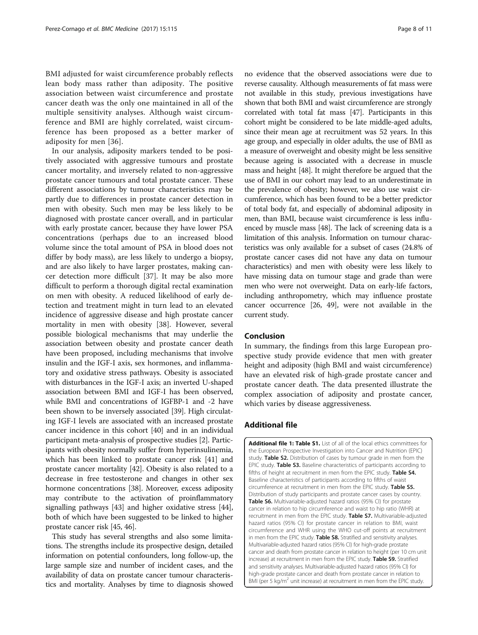<span id="page-7-0"></span>BMI adjusted for waist circumference probably reflects lean body mass rather than adiposity. The positive association between waist circumference and prostate cancer death was the only one maintained in all of the multiple sensitivity analyses. Although waist circumference and BMI are highly correlated, waist circumference has been proposed as a better marker of adiposity for men [[36\]](#page-9-0).

In our analysis, adiposity markers tended to be positively associated with aggressive tumours and prostate cancer mortality, and inversely related to non-aggressive prostate cancer tumours and total prostate cancer. These different associations by tumour characteristics may be partly due to differences in prostate cancer detection in men with obesity. Such men may be less likely to be diagnosed with prostate cancer overall, and in particular with early prostate cancer, because they have lower PSA concentrations (perhaps due to an increased blood volume since the total amount of PSA in blood does not differ by body mass), are less likely to undergo a biopsy, and are also likely to have larger prostates, making cancer detection more difficult [[37\]](#page-9-0). It may be also more difficult to perform a thorough digital rectal examination on men with obesity. A reduced likelihood of early detection and treatment might in turn lead to an elevated incidence of aggressive disease and high prostate cancer mortality in men with obesity [\[38\]](#page-9-0). However, several possible biological mechanisms that may underlie the association between obesity and prostate cancer death have been proposed, including mechanisms that involve insulin and the IGF-I axis, sex hormones, and inflammatory and oxidative stress pathways. Obesity is associated with disturbances in the IGF-I axis; an inverted U-shaped association between BMI and IGF-I has been observed, while BMI and concentrations of IGFBP-1 and -2 have been shown to be inversely associated [[39](#page-9-0)]. High circulating IGF-I levels are associated with an increased prostate cancer incidence in this cohort [\[40\]](#page-9-0) and in an individual participant meta-analysis of prospective studies [\[2](#page-8-0)]. Participants with obesity normally suffer from hyperinsulinemia, which has been linked to prostate cancer risk [\[41](#page-9-0)] and prostate cancer mortality [\[42](#page-9-0)]. Obesity is also related to a decrease in free testosterone and changes in other sex hormone concentrations [\[38\]](#page-9-0). Moreover, excess adiposity may contribute to the activation of proinflammatory signalling pathways [\[43\]](#page-9-0) and higher oxidative stress [[44](#page-9-0)], both of which have been suggested to be linked to higher prostate cancer risk [[45](#page-9-0), [46\]](#page-10-0).

This study has several strengths and also some limitations. The strengths include its prospective design, detailed information on potential confounders, long follow-up, the large sample size and number of incident cases, and the availability of data on prostate cancer tumour characteristics and mortality. Analyses by time to diagnosis showed

no evidence that the observed associations were due to reverse causality. Although measurements of fat mass were not available in this study, previous investigations have shown that both BMI and waist circumference are strongly correlated with total fat mass [\[47\]](#page-10-0). Participants in this cohort might be considered to be late middle-aged adults, since their mean age at recruitment was 52 years. In this age group, and especially in older adults, the use of BMI as a measure of overweight and obesity might be less sensitive because ageing is associated with a decrease in muscle mass and height [\[48\]](#page-10-0). It might therefore be argued that the use of BMI in our cohort may lead to an underestimate in the prevalence of obesity; however, we also use waist circumference, which has been found to be a better predictor of total body fat, and especially of abdominal adiposity in men, than BMI, because waist circumference is less influenced by muscle mass [\[48\]](#page-10-0). The lack of screening data is a limitation of this analysis. Information on tumour characteristics was only available for a subset of cases (24.8% of prostate cancer cases did not have any data on tumour characteristics) and men with obesity were less likely to have missing data on tumour stage and grade than were men who were not overweight. Data on early-life factors, including anthropometry, which may influence prostate cancer occurrence [[26](#page-9-0), [49\]](#page-10-0), were not available in the current study.

# Conclusion

In summary, the findings from this large European prospective study provide evidence that men with greater height and adiposity (high BMI and waist circumference) have an elevated risk of high-grade prostate cancer and prostate cancer death. The data presented illustrate the complex association of adiposity and prostate cancer, which varies by disease aggressiveness.

# Additional file

[Additional file 1: Table S1.](dx.doi.org/10.1186/s12916-017-0876-7) List of all of the local ethics committees for the European Prospective Investigation into Cancer and Nutrition (EPIC) study. Table S2. Distribution of cases by tumour grade in men from the EPIC study. Table S3. Baseline characteristics of participants according to fifths of height at recruitment in men from the EPIC study. Table S4. Baseline characteristics of participants according to fifths of waist circumference at recruitment in men from the EPIC study. Table S5. Distribution of study participants and prostate cancer cases by country. Table S6. Multivariable-adjusted hazard ratios (95% CI) for prostate cancer in relation to hip circumference and waist to hip ratio (WHR) at recruitment in men from the EPIC study. Table S7. Multivariable-adjusted hazard ratios (95% CI) for prostate cancer in relation to BMI, waist circumference and WHR using the WHO cut-off points at recruitment in men from the EPIC study. Table S8. Stratified and sensitivity analyses. Multivariable-adjusted hazard ratios (95% CI) for high-grade prostate cancer and death from prostate cancer in relation to height (per 10 cm unit increase) at recruitment in men from the EPIC study. Table S9. Stratified and sensitivity analyses. Multivariable-adjusted hazard ratios (95% CI) for high-grade prostate cancer and death from prostate cancer in relation to BMI (per 5 kg/ $m^2$  unit increase) at recruitment in men from the EPIC study.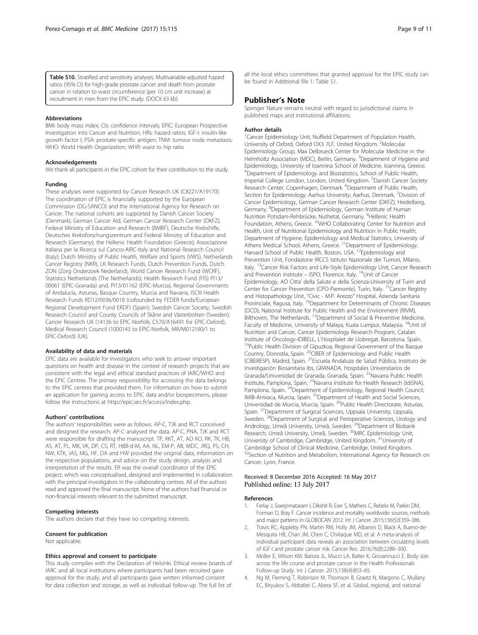#### <span id="page-8-0"></span>Abbreviations

BMI: body mass index; CIs: confidence intervals; EPIC: European Prospective Investigation into Cancer and Nutrition; HRs: hazard ratios; IGF-I: insulin-like growth factor I; PSA: prostate-specific antigen; TNM: tumour node metastasis; WHO: World Health Organization; WHR: waist to hip ratio

#### Acknowledgements

We thank all participants in the EPIC cohort for their contribution to the study.

#### Funding

These analyses were supported by Cancer Research UK (C8221/A19170). The coordination of EPIC is financially supported by the European Commission (DG-SANCO) and the International Agency for Research on Cancer. The national cohorts are supported by Danish Cancer Society (Denmark); German Cancer Aid, German Cancer Research Center (DKFZ), Federal Ministry of Education and Research (BMBF), Deutsche Krebshilfe, Deutsches Krebsforschungszentrum and Federal Ministry of Education and Research (Germany); the Hellenic Health Foundation (Greece); Associazione Italiana per la Ricerca sul Cancro-AIRC-Italy and National Research Council (Italy); Dutch Ministry of Public Health, Welfare and Sports (VWS), Netherlands Cancer Registry (NKR), LK Research Funds, Dutch Prevention Funds, Dutch ZON (Zorg Onderzoek Nederland), World Cancer Research Fund (WCRF), Statistics Netherlands (The Netherlands); Health Research Fund (FIS) PI13/ 00061 (EPIC-Granada) and, PI13/01162 (EPIC-Murcia), Regional Governments of Andalucía, Asturias, Basque Country, Murcia and Navarra, ISCIII Health Research Funds RD12/0036/0018 (cofounded by FEDER funds/European Regional Development Fund ERDF) (Spain); Swedish Cancer Society, Swedish Research Council and County Councils of Skåne and Västerbotten (Sweden); Cancer Research UK (14136 to EPIC-Norfolk; C570/A16491 for EPIC-Oxford), Medical Research Council (1000143 to EPIC-Norfolk, MR/M012190/1 to EPIC-Oxford) (UK).

#### Availability of data and materials

EPIC data are available for investigators who seek to answer important questions on health and disease in the context of research projects that are consistent with the legal and ethical standard practices of IARC/WHO and the EPIC Centres. The primary responsibility for accessing the data belongs to the EPIC centres that provided them. For information on how to submit an application for gaining access to EPIC data and/or biospecimens, please follow the instructions at [http://epic.iarc.fr/access/index.php.](http://epic.iarc.fr/access/index.php)

#### Authors' contributions

The authors' responsibilities were as follows. AP-C, TJK and RCT conceived and designed the research. AP-C analysed the data. AP-C, PNA, TJK and RCT were responsible for drafting the manuscript. TP, KKT, AT, AO KO, RK, TK, HB, AS, AT, PL, MK, VK, DP, CS, RT, HBB-d-M, AA, NL, EM-P, AB, MDC, JRQ, PS, CH, NW, KTK, JAS, MG, HF, DA and HW provided the original data, information on the respective populations, and advice on the study design, analysis and interpretation of the results. ER was the overall coordinator of the EPIC project, which was conceptualised, designed and implemented in collaboration with the principal investigators in the collaborating centres. All of the authors read and approved the final manuscript. None of the authors had financial or non-financial interests relevant to the submitted manuscript.

#### Competing interests

The authors declare that they have no competing interests.

#### Consent for publication

Not applicable.

#### Ethics approval and consent to participate

This study complies with the Declaration of Helsinki. Ethical review boards of IARC and all local institutions where participants had been recruited gave approval for the study, and all participants gave written informed consent for data collection and storage, as well as individual follow-up. The full list of

all the local ethics committees that granted approval for the EPIC study can be found in Additional file [1](#page-7-0): Table S1.

# Publisher's Note

Springer Nature remains neutral with regard to jurisdictional claims in published maps and institutional affiliations.

#### Author details

<sup>1</sup> Cancer Epidemiology Unit, Nuffield Department of Population Health, University of Oxford, Oxford OX3 7LF, United Kingdom. <sup>2</sup>Molecular Epidemiology Group, Max Delbrueck Center for Molecular Medicine in the Helmholtz Association (MDC), Berlin, Germany. <sup>3</sup>Department of Hygiene and Epidemiology, University of Ioannina School of Medicine, Ioannina, Greece. 4 Department of Epidemiology and Biostatistics, School of Public Health, Imperial College London, London, United Kingdom. <sup>5</sup>Danish Cancer Society Research Center, Copenhagen, Denmark. <sup>6</sup>Department of Public Health Section for Epidemiology, Aarhus University, Aarhus, Denmark. <sup>7</sup>Division of Cancer Epidemiology, German Cancer Research Center (DKFZ), Heidelberg, Germany. <sup>8</sup>Department of Epidemiology, German Institute of Human Nutrition Potsdam-Rehbrücke, Nuthetal, Germany. <sup>9</sup>Hellenic Health Foundation, Athens, Greece. <sup>10</sup>WHO Collaborating Center for Nutrition and Health, Unit of Nutritional Epidemiology and Nutrition in Public Health, Department of Hygiene, Epidemiology and Medical Statistics, University of Athens Medical School, Athens, Greece. <sup>11</sup>Department of Epidemiology, Harvard School of Public Health, Boston, USA. <sup>12</sup>Epidemiology and Prevention Unit, Fondazione IRCCS Istituto Nazionale dei Tumori, Milano, Italy. <sup>13</sup>Cancer Risk Factors and Life-Style Epidemiology Unit, Cancer Research and Prevention Institute – ISPO, Florence, Italy. <sup>14</sup>Unit of Cancer Epidemiology, AO Citta' della Salute e della Scienza-University of Turin and Center for Cancer Prevention (CPO-Piemonte), Turin, Italy. <sup>15</sup>Cancer Registry and Histopathology Unit, "Civic - M.P. Arezzo" Hospital, Azienda Sanitaria Provinciale, Ragusa, Italy. <sup>16</sup>Department for Determinants of Chronic Diseases (DCD), National Institute for Public Health and the Environment (RIVM), Bilthoven, The Netherlands. <sup>17</sup> Department of Social & Preventive Medicine, Faculty of Medicine, University of Malaya, Kuala Lumpur, Malaysia. <sup>18</sup>Unit of Nutrition and Cancer, Cancer Epidemiology Research Program, Catalan Institute of Oncology-IDIBELL, L'Hospitalet de Llobregat, Barcelona, Spain.<br><sup>19</sup>Public Health Division of Gipuzkoa, Regional Government of the Basque Country, Donostia, Spain. 20CIBER of Epidemiology and Public Health (CIBERESP), Madrid, Spain. 21Escuela Andaluza de Salud Pública, Instituto de Investigación Biosanitaria ibs, GRANADA, Hospitales Universitarios de Granada/Universidad de Granada, Granada, Spain. 22Navarra Public Health Institute, Pamplona, Spain. <sup>23</sup>Navarra Institute for Health Research (IdiSNA), Pamplona, Spain. 24Department of Epidemiology, Regional Health Council, IMIB-Arrixaca, Murcia, Spain. 25Department of Health and Social Sciences, Universidad de Murcia, Murcia, Spain. 26Public Health Directorate, Asturias, Spain. 27Department of Surgical Sciences, Uppsala University, Uppsala, Sweden. <sup>28</sup>Department of Surgical and Perioperative Sciences, Urology and Andrology, Umeå University, Umeå, Sweden. <sup>29</sup>Department of Biobank Research, Umeå University, Umeå, Sweden. 30MRC Epidemiology Unit, University of Cambridge, Cambridge, United Kingdom. 31University of Cambridge School of Clinical Medicine, Cambridge, United Kingdom. <sup>32</sup>Section of Nutrition and Metabolism, International Agency for Research on Cancer, Lyon, France.

### Received: 8 December 2016 Accepted: 16 May 2017 Published online: 13 July 2017

#### References

- 1. Ferlay J, Soerjomataram I, Dikshit R, Eser S, Mathers C, Rebelo M, Parkin DM, Forman D, Bray F. Cancer incidence and mortality worldwide: sources, methods and major patterns in GLOBOCAN 2012. Int J Cancer. 2015;136(5):E359–386.
- 2. Travis RC, Appleby PN, Martin RM, Holly JM, Albanes D, Black A, Bueno-de-Mesquita HB, Chan JM, Chen C, Chirlaque MD, et al. A meta-analysis of individual participant data reveals an association between circulating levels of IGF-I and prostate cancer risk. Cancer Res. 2016;76(8):2288–300.
- 3. Moller E, Wilson KM, Batista JL, Mucci LA, Balter K, Giovannucci E. Body size across the life course and prostate cancer in the Health Professionals Follow-up Study. Int J Cancer. 2015;138(4):853–65.
- 4. Ng M, Fleming T, Robinson M, Thomson B, Graetz N, Margono C, Mullany EC, Biryukov S, Abbafati C, Abera SF, et al. Global, regional, and national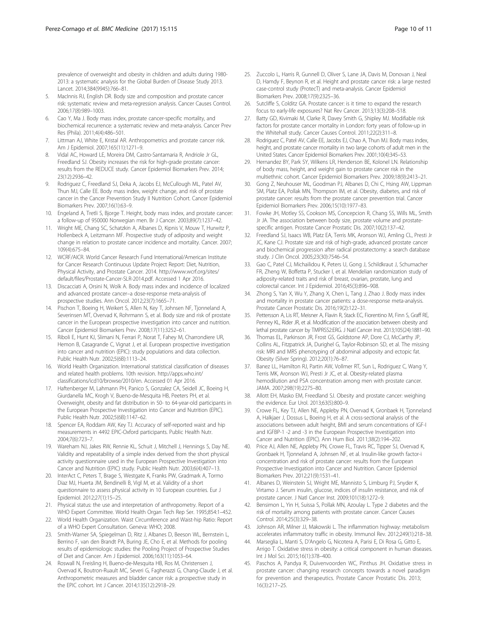<span id="page-9-0"></span>prevalence of overweight and obesity in children and adults during 1980- 2013: a systematic analysis for the Global Burden of Disease Study 2013. Lancet. 2014;384(9945):766–81.

- MacInnis RJ, English DR. Body size and composition and prostate cancer risk: systematic review and meta-regression analysis. Cancer Causes Control. 2006;17(8):989–1003.
- Cao Y, Ma J. Body mass index, prostate cancer-specific mortality, and biochemical recurrence: a systematic review and meta-analysis. Cancer Prev Res (Phila). 2011;4(4):486–501.
- 7. Littman AJ, White E, Kristal AR. Anthropometrics and prostate cancer risk. Am J Epidemiol. 2007;165(11):1271–9.
- 8. Vidal AC, Howard LE, Moreira DM, Castro-Santamaria R, Andriole Jr GL, Freedland SJ. Obesity increases the risk for high-grade prostate cancer: results from the REDUCE study. Cancer Epidemiol Biomarkers Prev. 2014; 23(12):2936–42.
- Rodriguez C, Freedland SJ, Deka A, Jacobs EJ, McCullough ML, Patel AV, Thun MJ, Calle EE. Body mass index, weight change, and risk of prostate cancer in the Cancer Prevention Study II Nutrition Cohort. Cancer Epidemiol Biomarkers Prev. 2007;16(1):63–9.
- 10. Engeland A, Tretli S, Bjorge T. Height, body mass index, and prostate cancer: a follow-up of 950000 Norwegian men. Br J Cancer. 2003;89(7):1237–42.
- 11. Wright ME, Chang SC, Schatzkin A, Albanes D, Kipnis V, Mouw T, Hurwitz P, Hollenbeck A, Leitzmann MF. Prospective study of adiposity and weight change in relation to prostate cancer incidence and mortality. Cancer. 2007; 109(4):675–84.
- 12. WCRF/AICR. World Cancer Research Fund International/American Institute for Cancer Research Continuous Update Project Report: Diet, Nutrition, Physical Activity, and Prostate Cancer. 2014. [http://www.wcrf.org/sites/](http://www.wcrf.org/sites/default/files/Prostate-Cancer-SLR-2014.pdf) [default/files/Prostate-Cancer-SLR-2014.pdf](http://www.wcrf.org/sites/default/files/Prostate-Cancer-SLR-2014.pdf). Accessed 1 Apr 2016.
- 13. Discacciati A, Orsini N, Wolk A. Body mass index and incidence of localized and advanced prostate cancer–a dose-response meta-analysis of prospective studies. Ann Oncol. 2012;23(7):1665–71.
- 14. Pischon T, Boeing H, Weikert S, Allen N, Key T, Johnsen NF, Tjonneland A, Severinsen MT, Overvad K, Rohrmann S, et al. Body size and risk of prostate cancer in the European prospective investigation into cancer and nutrition. Cancer Epidemiol Biomarkers Prev. 2008;17(11):3252–61.
- 15. Riboli E, Hunt KJ, Slimani N, Ferrari P, Norat T, Fahey M, Charrondiere UR, Hemon B, Casagrande C, Vignat J, et al. European prospective investigation into cancer and nutrition (EPIC): study populations and data collection. Public Health Nutr. 2002;5(6B):1113–24.
- 16. World Health Organization. International statistical classification of diseases and related health problems. 10th revision. [http://apps.who.int/](http://apps.who.int/classifications/icd10/browse/2010/en) [classifications/icd10/browse/2010/en](http://apps.who.int/classifications/icd10/browse/2010/en). Accessed 01 Apr 2016.
- 17. Haftenberger M, Lahmann PH, Panico S, Gonzalez CA, Seidell JC, Boeing H, Giurdanella MC, Krogh V, Bueno-de-Mesquita HB, Peeters PH, et al. Overweight, obesity and fat distribution in 50- to 64-year-old participants in the European Prospective Investigation into Cancer and Nutrition (EPIC). Public Health Nutr. 2002;5(6B):1147–62.
- 18. Spencer EA, Roddam AW, Key TJ. Accuracy of self-reported waist and hip measurements in 4492 EPIC-Oxford participants. Public Health Nutr. 2004;7(6):723–7.
- 19. Wareham NJ, Jakes RW, Rennie KL, Schuit J, Mitchell J, Hennings S, Day NE. Validity and repeatability of a simple index derived from the short physical activity questionnaire used in the European Prospective Investigation into Cancer and Nutrition (EPIC) study. Public Health Nutr. 2003;6(4):407–13.
- 20. InterAct C, Peters T, Brage S, Westgate K, Franks PW, Gradmark A, Tormo Diaz MJ, Huerta JM, Bendinelli B, Vigl M, et al. Validity of a short questionnaire to assess physical activity in 10 European countries. Eur J Epidemiol. 2012;27(1):15–25.
- 21. Physical status: the use and interpretation of anthropometry. Report of a WHO Expert Committee. World Health Organ Tech Rep Ser. 1995;854:1–452.
- 22. World Health Organization. Waist Circumference and Waist-hip Ratio: Report of a WHO Expert Consultation. Geneva: WHO; 2008.
- 23. Smith-Warner SA, Spiegelman D, Ritz J, Albanes D, Beeson WL, Bernstein L, Berrino F, van den Brandt PA, Buring JE, Cho E, et al. Methods for pooling results of epidemiologic studies: the Pooling Project of Prospective Studies of Diet and Cancer. Am J Epidemiol. 2006;163(11):1053–64.
- 24. Roswall N, Freisling H, Bueno-de-Mesquita HB, Ros M, Christensen J, Overvad K, Boutron-Ruault MC, Severi G, Fagherazzi G, Chang-Claude J, et al. Anthropometric measures and bladder cancer risk: a prospective study in the EPIC cohort. Int J Cancer. 2014;135(12):2918–29.
- 25. Zuccolo L, Harris R, Gunnell D, Oliver S, Lane JA, Davis M, Donovan J, Neal D, Hamdy F, Beynon R, et al. Height and prostate cancer risk: a large nested case-control study (ProtecT) and meta-analysis. Cancer Epidemiol Biomarkers Prev. 2008;17(9):2325–36.
- 26. Sutcliffe S, Colditz GA. Prostate cancer: is it time to expand the research focus to early-life exposures? Nat Rev Cancer. 2013;13(3):208–518.
- Batty GD, Kivimaki M, Clarke R, Davey Smith G, Shipley MJ. Modifiable risk factors for prostate cancer mortality in London: forty years of follow-up in the Whitehall study. Cancer Causes Control. 2011;22(2):311–8.
- 28. Rodriguez C, Patel AV, Calle EE, Jacobs EJ, Chao A, Thun MJ. Body mass index, height, and prostate cancer mortality in two large cohorts of adult men in the United States. Cancer Epidemiol Biomarkers Prev. 2001;10(4):345–53.
- 29. Hernandez BY, Park SY, Wilkens LR, Henderson BE, Kolonel LN. Relationship of body mass, height, and weight gain to prostate cancer risk in the multiethnic cohort. Cancer Epidemiol Biomarkers Prev. 2009;18(9):2413–21.
- 30. Gong Z, Neuhouser ML, Goodman PJ, Albanes D, Chi C, Hsing AW, Lippman SM, Platz EA, Pollak MN, Thompson IM, et al. Obesity, diabetes, and risk of prostate cancer: results from the prostate cancer prevention trial. Cancer Epidemiol Biomarkers Prev. 2006;15(10):1977–83.
- 31. Fowke JH, Motley SS, Cookson MS, Concepcion R, Chang SS, Wills ML, Smith Jr JA. The association between body size, prostate volume and prostatespecific antigen. Prostate Cancer Prostatic Dis. 2007;10(2):137–42.
- 32. Freedland SJ, Isaacs WB, Platz EA, Terris MK, Aronson WJ, Amling CL, Presti Jr JC, Kane CJ. Prostate size and risk of high-grade, advanced prostate cancer and biochemical progression after radical prostatectomy: a search database study. J Clin Oncol. 2005;23(30):7546–54.
- 33. Gao C, Patel CJ, Michailidou K, Peters U, Gong J, Schildkraut J, Schumacher FR, Zheng W, Boffetta P, Stucker I, et al. Mendelian randomization study of adiposity-related traits and risk of breast, ovarian, prostate, lung and colorectal cancer. Int J Epidemiol. 2016;45(3):896–908.
- 34. Zhong S, Yan X, Wu Y, Zhang X, Chen L, Tang J, Zhao J. Body mass index and mortality in prostate cancer patients: a dose-response meta-analysis. Prostate Cancer Prostatic Dis. 2016;19(2):122–31.
- 35. Pettersson A, Lis RT, Meisner A, Flavin R, Stack EC, Fiorentino M, Finn S, Graff RE, Penney KL, Rider JR, et al. Modification of the association between obesity and lethal prostate cancer by TMPRSS2:ERG. J Natl Cancer Inst. 2013;105(24):1881–90.
- 36. Thomas EL, Parkinson JR, Frost GS, Goldstone AP, Dore CJ, McCarthy JP, Collins AL, Fitzpatrick JA, Durighel G, Taylor-Robinson SD, et al. The missing risk: MRI and MRS phenotyping of abdominal adiposity and ectopic fat. Obesity (Silver Spring). 2012;20(1):76–87.
- 37. Banez LL, Hamilton RJ, Partin AW, Vollmer RT, Sun L, Rodriguez C, Wang Y, Terris MK, Aronson WJ, Presti Jr JC, et al. Obesity-related plasma hemodilution and PSA concentration among men with prostate cancer. JAMA. 2007;298(19):2275–80.
- 38. Allott EH, Masko EM, Freedland SJ. Obesity and prostate cancer: weighing the evidence. Eur Urol. 2013;63(5):800–9.
- Crowe FL, Key TJ, Allen NE, Appleby PN, Overvad K, Gronbaek H, Tjonneland A, Halkjaer J, Dossus L, Boeing H, et al. A cross-sectional analysis of the associations between adult height, BMI and serum concentrations of IGF-I and IGFBP-1 -2 and -3 in the European Prospective Investigation into Cancer and Nutrition (EPIC). Ann Hum Biol. 2011;38(2):194–202.
- 40. Price AJ, Allen NE, Appleby PN, Crowe FL, Travis RC, Tipper SJ, Overvad K, Gronbaek H, Tjonneland A, Johnsen NF, et al. Insulin-like growth factor-i concentration and risk of prostate cancer: results from the European Prospective Investigation into Cancer and Nutrition. Cancer Epidemiol Biomarkers Prev. 2012;21(9):1531–41.
- 41. Albanes D, Weinstein SJ, Wright ME, Mannisto S, Limburg PJ, Snyder K, Virtamo J. Serum insulin, glucose, indices of insulin resistance, and risk of prostate cancer. J Natl Cancer Inst. 2009;101(18):1272–9.
- 42. Bensimon L, Yin H, Suissa S, Pollak MN, Azoulay L. Type 2 diabetes and the risk of mortality among patients with prostate cancer. Cancer Causes Control. 2014;25(3):329–38.
- 43. Johnson AR, Milner JJ, Makowski L. The inflammation highway: metabolism accelerates inflammatory traffic in obesity. Immunol Rev. 2012;249(1):218–38.
- Marseglia L, Manti S, D'Angelo G, Nicotera A, Parisi E, Di Rosa G, Gitto E, Arrigo T. Oxidative stress in obesity: a critical component in human diseases. Int J Mol Sci. 2015;16(1):378–400.
- 45. Paschos A, Pandya R, Duivenvoorden WC, Pinthus JH. Oxidative stress in prostate cancer: changing research concepts towards a novel paradigm for prevention and therapeutics. Prostate Cancer Prostatic Dis. 2013; 16(3):217–25.